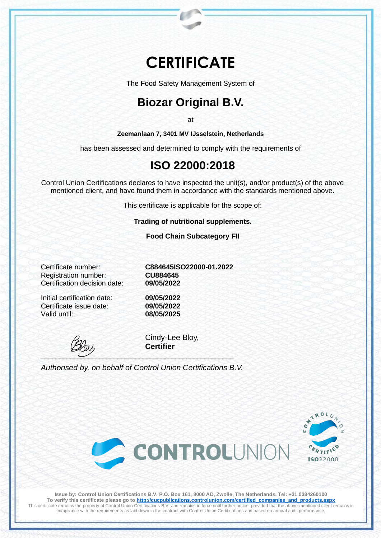# **CERTIFICATE**

The Food Safety Management System of

## **Biozar Original B.V.**

at

**Zeemanlaan 7, 3401 MV IJsselstein, Netherlands**

has been assessed and determined to comply with the requirements of

### **ISO 22000:2018**

Control Union Certifications declares to have inspected the unit(s), and/or product(s) of the above mentioned client, and have found them in accordance with the standards mentioned above.

This certificate is applicable for the scope of:

**Trading of nutritional supplements.**

**Food Chain Subcategory FII**

Registration number: **CU884645** Certification decision date: **09/05/2022**

Initial certification date: **09/05/2022** Certificate issue date: Valid until: **08/05/2025**

Certificate number: **C884645ISO22000-01.2022**

\_\_\_\_\_\_\_\_\_\_\_\_\_\_\_\_\_\_\_\_\_\_\_\_\_\_\_\_\_\_\_\_\_\_\_\_\_\_\_\_\_\_\_\_\_\_\_\_\_\_\_\_\_

Cindy-Lee Bloy, **Certifier**

*Authorised by, on behalf of Control Union Certifications B.V.*